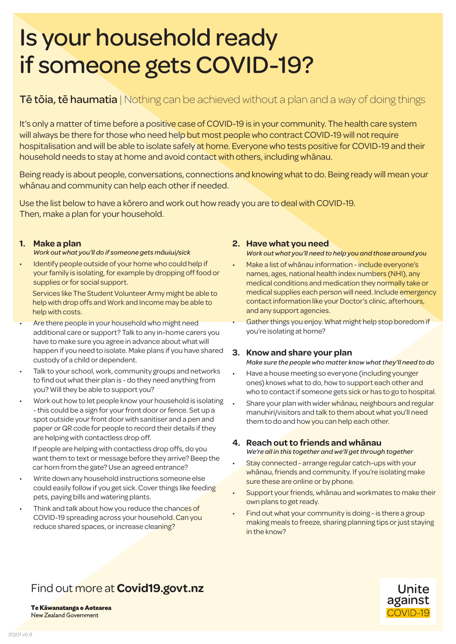# Is your household ready if someone gets COVID-19?

### **Tē tōia, tē haumatia** | Nothing can be achieved without a plan and a way of doing things

It's only a matter of time before a positive case of COVID-19 is in your community. The health care system will always be there for those who need help but most people who contract COVID-19 will not require hospitalisation and will be able to isolate safely at home. Everyone who tests positive for COVID-19 and their household needs to stay at home and avoid contact with others, including whānau.

Being ready is about people, conversations, connections and knowing what to do. Being ready will mean your whānau and community can help each other if needed.

Use the list below to have a kōrero and work out how ready you are to deal with COVID-19. Then, make a plan for your household.

#### **1. Make a plan**

- *Work out what you'll do if someone gets māuiui/sick*
- Identify people outside of your home who could help if your family is isolating, for example by dropping off food or supplies or for social support.

Services like The Student Volunteer Army might be able to help with drop offs and Work and Income may be able to help with costs.

- Are there people in your household who might need additional care or support? Talk to any in-home carers you have to make sure you agree in advance about what will happen if you need to isolate. Make plans if you have shared custody of a child or dependent.
- Talk to your school, work, community groups and networks to find out what their plan is - do they need anything from you? Will they be able to support you?
- Work out how to let people know your household is isolating - this could be a sign for your front door or fence. Set up a spot outside your front door with sanitiser and a pen and paper or QR code for people to record their details if they are helping with contactless drop off.

If people are helping with contactless drop offs, do you want them to text or message before they arrive? Beep the car horn from the gate? Use an agreed entrance?

- Write down any household instructions someone else could easily follow if you get sick. Cover things like feeding pets, paying bills and watering plants.
- Think and talk about how you reduce the chances of COVID-19 spreading across your household. Can you reduce shared spaces, or increase cleaning?

#### **2. Have what you need**

*Work out what you'll need to help you and those around you* 

- Make a list of whānau information include everyone's names, ages, national health index numbers (NHI), any medical conditions and medication they normally take or medical supplies each person will need. Include emergency contact information like your Doctor's clinic, afterhours, and any support agencies.
- Gather things you enjoy. What might help stop boredom if you're isolating at home?

#### **3. Know and share your plan**

*Make sure the people who matter know what they'll need to do*

- Have a house meeting so everyone (including younger ones) knows what to do, how to support each other and who to contact if someone gets sick or has to go to hospital.
- Share your plan with wider whanau, neighbours and regular manuhiri/visitors and talk to them about what you'll need them to do and how you can help each other.

#### **4. Reach out to friends and whānau**

*We're all in this together and we'll get through together*

- Stay connected arrange regular catch-ups with your whānau, friends and community. If you're isolating make sure these are online or by phone.
- Support your friends, whānau and workmates to make their own plans to get ready.
- Find out what your community is doing is there a group making meals to freeze, sharing planning tips or just staying in the know?

# Find out more at **Covid19.govt.nz**



Te Kāwanatanga o Aotearoa New Zealand Government